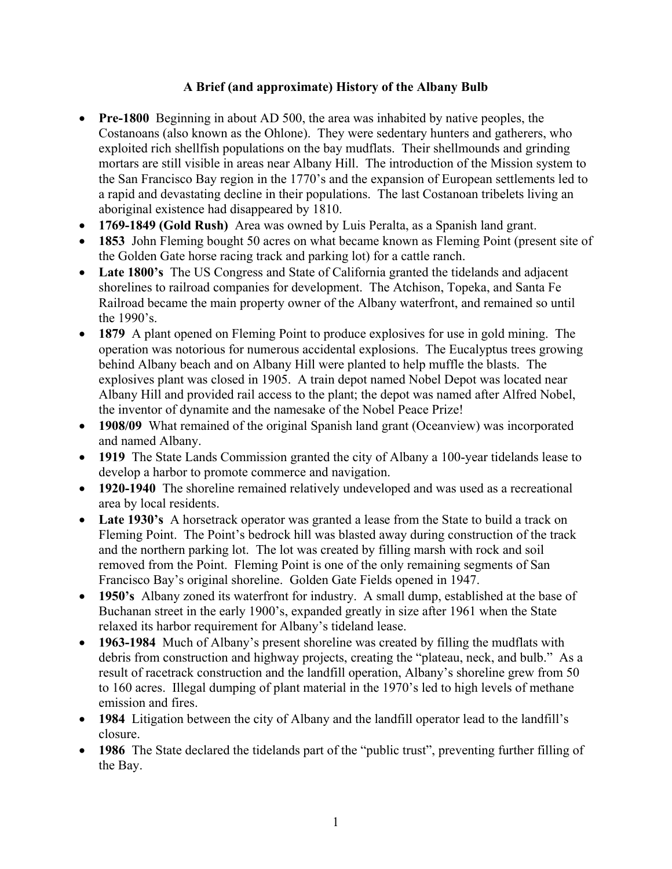## **A Brief (and approximate) History of the Albany Bulb**

- ! **Pre-1800** Beginning in about AD 500, the area was inhabited by native peoples, the Costanoans (also known as the Ohlone). They were sedentary hunters and gatherers, who exploited rich shellfish populations on the bay mudflats. Their shellmounds and grinding mortars are still visible in areas near Albany Hill. The introduction of the Mission system to the San Francisco Bay region in the 1770's and the expansion of European settlements led to a rapid and devastating decline in their populations. The last Costanoan tribelets living an aboriginal existence had disappeared by 1810.
- ! **1769-1849 (Gold Rush)** Area was owned by Luis Peralta, as a Spanish land grant.
- 1853 John Fleming bought 50 acres on what became known as Fleming Point (present site of the Golden Gate horse racing track and parking lot) for a cattle ranch.
- ! **Late 1800's** The US Congress and State of California granted the tidelands and adjacent shorelines to railroad companies for development. The Atchison, Topeka, and Santa Fe Railroad became the main property owner of the Albany waterfront, and remained so until the 1990's.
- ! **1879** A plant opened on Fleming Point to produce explosives for use in gold mining. The operation was notorious for numerous accidental explosions. The Eucalyptus trees growing behind Albany beach and on Albany Hill were planted to help muffle the blasts. The explosives plant was closed in 1905. A train depot named Nobel Depot was located near Albany Hill and provided rail access to the plant; the depot was named after Alfred Nobel, the inventor of dynamite and the namesake of the Nobel Peace Prize!
- **1908/09** What remained of the original Spanish land grant (Oceanview) was incorporated and named Albany.
- **1919** The State Lands Commission granted the city of Albany a 100-year tidelands lease to develop a harbor to promote commerce and navigation.
- ! **1920-1940** The shoreline remained relatively undeveloped and was used as a recreational area by local residents.
- Late 1930's A horsetrack operator was granted a lease from the State to build a track on Fleming Point. The Point's bedrock hill was blasted away during construction of the track and the northern parking lot. The lot was created by filling marsh with rock and soil removed from the Point. Fleming Point is one of the only remaining segments of San Francisco Bay's original shoreline. Golden Gate Fields opened in 1947.
- ! **1950's** Albany zoned its waterfront for industry. A small dump, established at the base of Buchanan street in the early 1900's, expanded greatly in size after 1961 when the State relaxed its harbor requirement for Albany's tideland lease.
- ! **1963-1984** Much of Albany's present shoreline was created by filling the mudflats with debris from construction and highway projects, creating the "plateau, neck, and bulb." As a result of racetrack construction and the landfill operation, Albany's shoreline grew from 50 to 160 acres. Illegal dumping of plant material in the 1970's led to high levels of methane emission and fires.
- **1984** Litigation between the city of Albany and the landfill operator lead to the landfill's closure.
- ! **1986** The State declared the tidelands part of the "public trust", preventing further filling of the Bay.